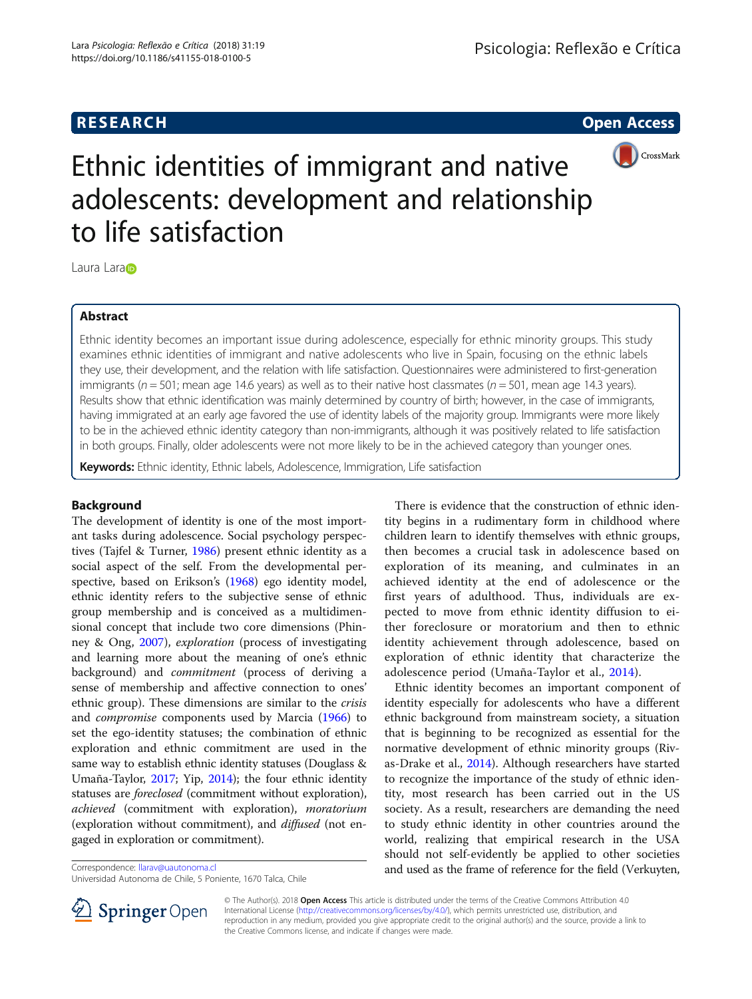# **RESEARCH CHILD CONTROL** CONTROL CONTROL CONTROL CONTROL CONTROL CONTROL CONTROL CONTROL CONTROL CONTROL CONTROL CONTROL CONTROL CONTROL CONTROL CONTROL CONTROL CONTROL CONTROL CONTROL CONTROL CONTROL CONTROL CONTROL CONTR



# Ethnic identities of immigrant and native adolescents: development and relationship to life satisfaction

L[a](http://orcid.org/0000-0001-6420-2398)ura Lara<sub>D</sub>

# Abstract

Ethnic identity becomes an important issue during adolescence, especially for ethnic minority groups. This study examines ethnic identities of immigrant and native adolescents who live in Spain, focusing on the ethnic labels they use, their development, and the relation with life satisfaction. Questionnaires were administered to first-generation immigrants ( $n = 501$ ; mean age 14.6 years) as well as to their native host classmates ( $n = 501$ , mean age 14.3 years). Results show that ethnic identification was mainly determined by country of birth; however, in the case of immigrants, having immigrated at an early age favored the use of identity labels of the majority group. Immigrants were more likely to be in the achieved ethnic identity category than non-immigrants, although it was positively related to life satisfaction in both groups. Finally, older adolescents were not more likely to be in the achieved category than younger ones.

Keywords: Ethnic identity, Ethnic labels, Adolescence, Immigration, Life satisfaction

# Background

The development of identity is one of the most important tasks during adolescence. Social psychology perspectives (Tajfel & Turner, [1986](#page-7-0)) present ethnic identity as a social aspect of the self. From the developmental perspective, based on Erikson's ([1968](#page-7-0)) ego identity model, ethnic identity refers to the subjective sense of ethnic group membership and is conceived as a multidimensional concept that include two core dimensions (Phinney & Ong, [2007\)](#page-7-0), exploration (process of investigating and learning more about the meaning of one's ethnic background) and commitment (process of deriving a sense of membership and affective connection to ones' ethnic group). These dimensions are similar to the crisis and compromise components used by Marcia [\(1966\)](#page-7-0) to set the ego-identity statuses; the combination of ethnic exploration and ethnic commitment are used in the same way to establish ethnic identity statuses (Douglass & Umaña-Taylor, [2017;](#page-7-0) Yip, [2014](#page-8-0)); the four ethnic identity statuses are foreclosed (commitment without exploration), achieved (commitment with exploration), moratorium (exploration without commitment), and diffused (not engaged in exploration or commitment).

Universidad Autonoma de Chile, 5 Poniente, 1670 Talca, Chile

There is evidence that the construction of ethnic identity begins in a rudimentary form in childhood where children learn to identify themselves with ethnic groups, then becomes a crucial task in adolescence based on exploration of its meaning, and culminates in an achieved identity at the end of adolescence or the first years of adulthood. Thus, individuals are expected to move from ethnic identity diffusion to either foreclosure or moratorium and then to ethnic identity achievement through adolescence, based on exploration of ethnic identity that characterize the adolescence period (Umaña-Taylor et al., [2014\)](#page-8-0).

Ethnic identity becomes an important component of identity especially for adolescents who have a different ethnic background from mainstream society, a situation that is beginning to be recognized as essential for the normative development of ethnic minority groups (Rivas-Drake et al., [2014](#page-7-0)). Although researchers have started to recognize the importance of the study of ethnic identity, most research has been carried out in the US society. As a result, researchers are demanding the need to study ethnic identity in other countries around the world, realizing that empirical research in the USA should not self-evidently be applied to other societies Correspondence: [llarav@uautonoma.cl](mailto:llarav@uautonoma.cl) **and used as the frame of reference for the field (Verkuyten,** 



© The Author(s). 2018 Open Access This article is distributed under the terms of the Creative Commons Attribution 4.0 International License ([http://creativecommons.org/licenses/by/4.0/\)](http://creativecommons.org/licenses/by/4.0/), which permits unrestricted use, distribution, and reproduction in any medium, provided you give appropriate credit to the original author(s) and the source, provide a link to the Creative Commons license, and indicate if changes were made.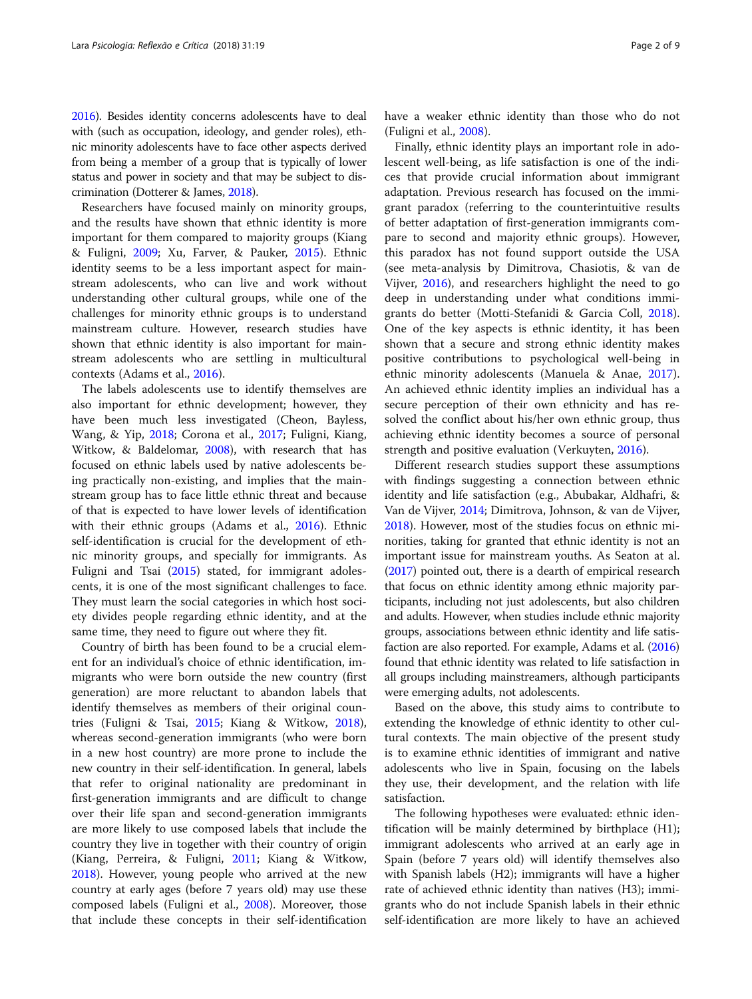[2016\)](#page-8-0). Besides identity concerns adolescents have to deal with (such as occupation, ideology, and gender roles), ethnic minority adolescents have to face other aspects derived from being a member of a group that is typically of lower status and power in society and that may be subject to discrimination (Dotterer & James, [2018\)](#page-7-0).

Researchers have focused mainly on minority groups, and the results have shown that ethnic identity is more important for them compared to majority groups (Kiang & Fuligni, [2009](#page-7-0); Xu, Farver, & Pauker, [2015](#page-8-0)). Ethnic identity seems to be a less important aspect for mainstream adolescents, who can live and work without understanding other cultural groups, while one of the challenges for minority ethnic groups is to understand mainstream culture. However, research studies have shown that ethnic identity is also important for mainstream adolescents who are settling in multicultural contexts (Adams et al., [2016\)](#page-7-0).

The labels adolescents use to identify themselves are also important for ethnic development; however, they have been much less investigated (Cheon, Bayless, Wang, & Yip, [2018;](#page-7-0) Corona et al., [2017](#page-7-0); Fuligni, Kiang, Witkow, & Baldelomar, [2008](#page-7-0)), with research that has focused on ethnic labels used by native adolescents being practically non-existing, and implies that the mainstream group has to face little ethnic threat and because of that is expected to have lower levels of identification with their ethnic groups (Adams et al., [2016\)](#page-7-0). Ethnic self-identification is crucial for the development of ethnic minority groups, and specially for immigrants. As Fuligni and Tsai ([2015\)](#page-7-0) stated, for immigrant adolescents, it is one of the most significant challenges to face. They must learn the social categories in which host society divides people regarding ethnic identity, and at the same time, they need to figure out where they fit.

Country of birth has been found to be a crucial element for an individual's choice of ethnic identification, immigrants who were born outside the new country (first generation) are more reluctant to abandon labels that identify themselves as members of their original countries (Fuligni & Tsai, [2015;](#page-7-0) Kiang & Witkow, [2018](#page-7-0)), whereas second-generation immigrants (who were born in a new host country) are more prone to include the new country in their self-identification. In general, labels that refer to original nationality are predominant in first-generation immigrants and are difficult to change over their life span and second-generation immigrants are more likely to use composed labels that include the country they live in together with their country of origin (Kiang, Perreira, & Fuligni, [2011;](#page-7-0) Kiang & Witkow, [2018](#page-7-0)). However, young people who arrived at the new country at early ages (before 7 years old) may use these composed labels (Fuligni et al., [2008](#page-7-0)). Moreover, those that include these concepts in their self-identification have a weaker ethnic identity than those who do not (Fuligni et al., [2008](#page-7-0)).

Finally, ethnic identity plays an important role in adolescent well-being, as life satisfaction is one of the indices that provide crucial information about immigrant adaptation. Previous research has focused on the immigrant paradox (referring to the counterintuitive results of better adaptation of first-generation immigrants compare to second and majority ethnic groups). However, this paradox has not found support outside the USA (see meta-analysis by Dimitrova, Chasiotis, & van de Vijver, [2016\)](#page-7-0), and researchers highlight the need to go deep in understanding under what conditions immigrants do better (Motti-Stefanidi & Garcia Coll, [2018](#page-7-0)). One of the key aspects is ethnic identity, it has been shown that a secure and strong ethnic identity makes positive contributions to psychological well-being in ethnic minority adolescents (Manuela & Anae, [2017](#page-7-0)). An achieved ethnic identity implies an individual has a secure perception of their own ethnicity and has resolved the conflict about his/her own ethnic group, thus achieving ethnic identity becomes a source of personal strength and positive evaluation (Verkuyten, [2016\)](#page-8-0).

Different research studies support these assumptions with findings suggesting a connection between ethnic identity and life satisfaction (e.g., Abubakar, Aldhafri, & Van de Vijver, [2014;](#page-7-0) Dimitrova, Johnson, & van de Vijver, [2018](#page-7-0)). However, most of the studies focus on ethnic minorities, taking for granted that ethnic identity is not an important issue for mainstream youths. As Seaton at al. ([2017](#page-7-0)) pointed out, there is a dearth of empirical research that focus on ethnic identity among ethnic majority participants, including not just adolescents, but also children and adults. However, when studies include ethnic majority groups, associations between ethnic identity and life satisfaction are also reported. For example, Adams et al. [\(2016](#page-7-0)) found that ethnic identity was related to life satisfaction in all groups including mainstreamers, although participants were emerging adults, not adolescents.

Based on the above, this study aims to contribute to extending the knowledge of ethnic identity to other cultural contexts. The main objective of the present study is to examine ethnic identities of immigrant and native adolescents who live in Spain, focusing on the labels they use, their development, and the relation with life satisfaction.

The following hypotheses were evaluated: ethnic identification will be mainly determined by birthplace (H1); immigrant adolescents who arrived at an early age in Spain (before 7 years old) will identify themselves also with Spanish labels (H2); immigrants will have a higher rate of achieved ethnic identity than natives (H3); immigrants who do not include Spanish labels in their ethnic self-identification are more likely to have an achieved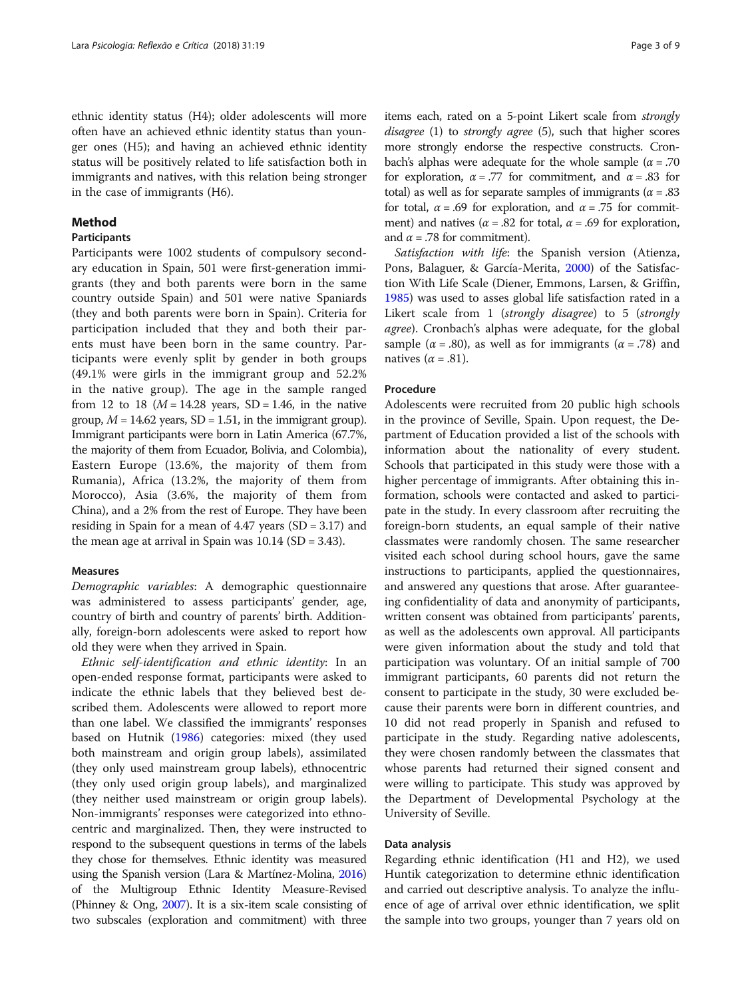ethnic identity status (H4); older adolescents will more often have an achieved ethnic identity status than younger ones (H5); and having an achieved ethnic identity status will be positively related to life satisfaction both in immigrants and natives, with this relation being stronger in the case of immigrants (H6).

# Method

# Participants

Participants were 1002 students of compulsory secondary education in Spain, 501 were first-generation immigrants (they and both parents were born in the same country outside Spain) and 501 were native Spaniards (they and both parents were born in Spain). Criteria for participation included that they and both their parents must have been born in the same country. Participants were evenly split by gender in both groups (49.1% were girls in the immigrant group and 52.2% in the native group). The age in the sample ranged from 12 to 18 ( $M = 14.28$  years, SD = 1.46, in the native group,  $M = 14.62$  years, SD = 1.51, in the immigrant group). Immigrant participants were born in Latin America (67.7%, the majority of them from Ecuador, Bolivia, and Colombia), Eastern Europe (13.6%, the majority of them from Rumania), Africa (13.2%, the majority of them from Morocco), Asia (3.6%, the majority of them from China), and a 2% from the rest of Europe. They have been residing in Spain for a mean of 4.47 years (SD = 3.17) and the mean age at arrival in Spain was  $10.14$  (SD = 3.43).

# Measures

Demographic variables: A demographic questionnaire was administered to assess participants' gender, age, country of birth and country of parents' birth. Additionally, foreign-born adolescents were asked to report how old they were when they arrived in Spain.

Ethnic self-identification and ethnic identity: In an open-ended response format, participants were asked to indicate the ethnic labels that they believed best described them. Adolescents were allowed to report more than one label. We classified the immigrants' responses based on Hutnik ([1986](#page-7-0)) categories: mixed (they used both mainstream and origin group labels), assimilated (they only used mainstream group labels), ethnocentric (they only used origin group labels), and marginalized (they neither used mainstream or origin group labels). Non-immigrants' responses were categorized into ethnocentric and marginalized. Then, they were instructed to respond to the subsequent questions in terms of the labels they chose for themselves. Ethnic identity was measured using the Spanish version (Lara & Martínez-Molina, [2016](#page-7-0)) of the Multigroup Ethnic Identity Measure-Revised (Phinney & Ong, [2007](#page-7-0)). It is a six-item scale consisting of two subscales (exploration and commitment) with three items each, rated on a 5-point Likert scale from strongly disagree (1) to *strongly agree* (5), such that higher scores more strongly endorse the respective constructs. Cronbach's alphas were adequate for the whole sample ( $\alpha = 0.70$ ) for exploration,  $\alpha = .77$  for commitment, and  $\alpha = .83$  for total) as well as for separate samples of immigrants ( $\alpha = .83$ ) for total,  $\alpha = .69$  for exploration, and  $\alpha = .75$  for commitment) and natives ( $\alpha$  = .82 for total,  $\alpha$  = .69 for exploration, and  $\alpha$  = .78 for commitment).

Satisfaction with life: the Spanish version (Atienza, Pons, Balaguer, & García-Merita, [2000\)](#page-7-0) of the Satisfaction With Life Scale (Diener, Emmons, Larsen, & Griffin, [1985](#page-7-0)) was used to asses global life satisfaction rated in a Likert scale from 1 (strongly disagree) to 5 (strongly agree). Cronbach's alphas were adequate, for the global sample ( $\alpha$  = .80), as well as for immigrants ( $\alpha$  = .78) and natives ( $\alpha$  = .81).

# Procedure

Adolescents were recruited from 20 public high schools in the province of Seville, Spain. Upon request, the Department of Education provided a list of the schools with information about the nationality of every student. Schools that participated in this study were those with a higher percentage of immigrants. After obtaining this information, schools were contacted and asked to participate in the study. In every classroom after recruiting the foreign-born students, an equal sample of their native classmates were randomly chosen. The same researcher visited each school during school hours, gave the same instructions to participants, applied the questionnaires, and answered any questions that arose. After guaranteeing confidentiality of data and anonymity of participants, written consent was obtained from participants' parents, as well as the adolescents own approval. All participants were given information about the study and told that participation was voluntary. Of an initial sample of 700 immigrant participants, 60 parents did not return the consent to participate in the study, 30 were excluded because their parents were born in different countries, and 10 did not read properly in Spanish and refused to participate in the study. Regarding native adolescents, they were chosen randomly between the classmates that whose parents had returned their signed consent and were willing to participate. This study was approved by the Department of Developmental Psychology at the University of Seville.

# Data analysis

Regarding ethnic identification (H1 and H2), we used Huntik categorization to determine ethnic identification and carried out descriptive analysis. To analyze the influence of age of arrival over ethnic identification, we split the sample into two groups, younger than 7 years old on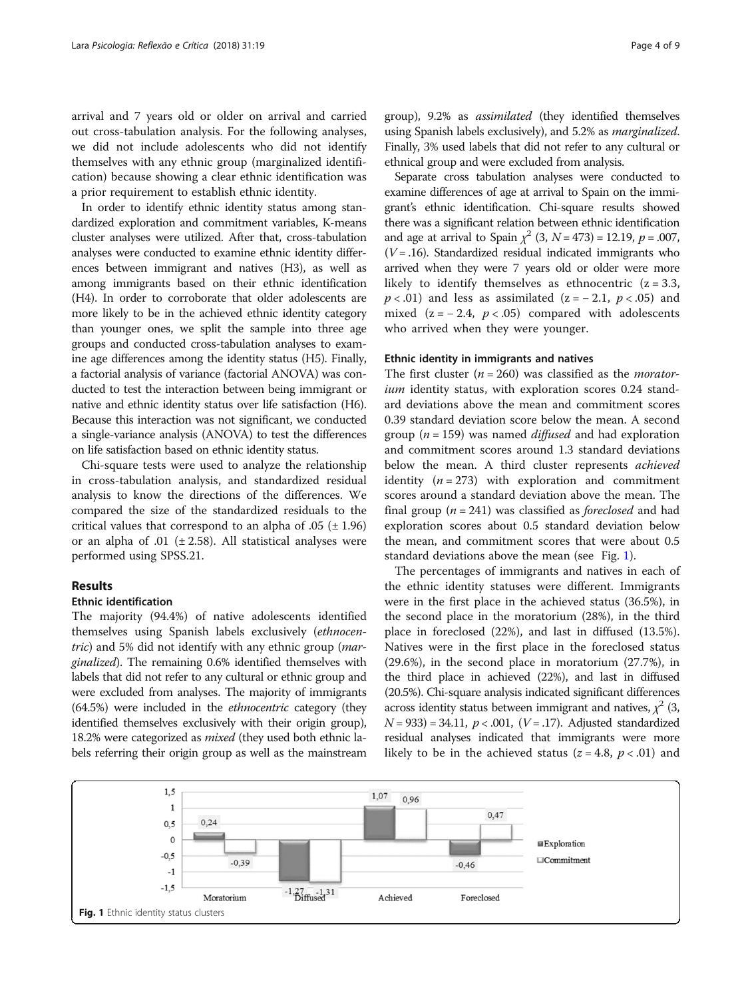arrival and 7 years old or older on arrival and carried out cross-tabulation analysis. For the following analyses, we did not include adolescents who did not identify themselves with any ethnic group (marginalized identification) because showing a clear ethnic identification was a prior requirement to establish ethnic identity.

In order to identify ethnic identity status among standardized exploration and commitment variables, K-means cluster analyses were utilized. After that, cross-tabulation analyses were conducted to examine ethnic identity differences between immigrant and natives (H3), as well as among immigrants based on their ethnic identification (H4). In order to corroborate that older adolescents are more likely to be in the achieved ethnic identity category than younger ones, we split the sample into three age groups and conducted cross-tabulation analyses to examine age differences among the identity status (H5). Finally, a factorial analysis of variance (factorial ANOVA) was conducted to test the interaction between being immigrant or native and ethnic identity status over life satisfaction (H6). Because this interaction was not significant, we conducted a single-variance analysis (ANOVA) to test the differences on life satisfaction based on ethnic identity status.

Chi-square tests were used to analyze the relationship in cross-tabulation analysis, and standardized residual analysis to know the directions of the differences. We compared the size of the standardized residuals to the critical values that correspond to an alpha of  $.05$  ( $\pm$  1.96) or an alpha of .01 ( $\pm$  2.58). All statistical analyses were performed using SPSS.21.

# Results

# Ethnic identification

The majority (94.4%) of native adolescents identified themselves using Spanish labels exclusively (ethnocentric) and 5% did not identify with any ethnic group (marginalized). The remaining 0.6% identified themselves with labels that did not refer to any cultural or ethnic group and were excluded from analyses. The majority of immigrants (64.5%) were included in the ethnocentric category (they identified themselves exclusively with their origin group), 18.2% were categorized as *mixed* (they used both ethnic labels referring their origin group as well as the mainstream group), 9.2% as assimilated (they identified themselves using Spanish labels exclusively), and 5.2% as marginalized. Finally, 3% used labels that did not refer to any cultural or ethnical group and were excluded from analysis.

Separate cross tabulation analyses were conducted to examine differences of age at arrival to Spain on the immigrant's ethnic identification. Chi-square results showed there was a significant relation between ethnic identification and age at arrival to Spain  $\chi^2$  (3,  $N = 473$ ) = 12.19,  $p = .007$ ,  $(V = .16)$ . Standardized residual indicated immigrants who arrived when they were 7 years old or older were more likely to identify themselves as ethnocentric  $(z = 3.3,$  $p < .01$ ) and less as assimilated (z = - 2.1,  $p < .05$ ) and mixed  $(z = -2.4, p < .05)$  compared with adolescents who arrived when they were younger.

# Ethnic identity in immigrants and natives

The first cluster ( $n = 260$ ) was classified as the *morator*ium identity status, with exploration scores 0.24 standard deviations above the mean and commitment scores 0.39 standard deviation score below the mean. A second group ( $n = 159$ ) was named *diffused* and had exploration and commitment scores around 1.3 standard deviations below the mean. A third cluster represents *achieved* identity  $(n = 273)$  with exploration and commitment scores around a standard deviation above the mean. The final group ( $n = 241$ ) was classified as *foreclosed* and had exploration scores about 0.5 standard deviation below the mean, and commitment scores that were about 0.5 standard deviations above the mean (see Fig. 1).

The percentages of immigrants and natives in each of the ethnic identity statuses were different. Immigrants were in the first place in the achieved status (36.5%), in the second place in the moratorium (28%), in the third place in foreclosed (22%), and last in diffused (13.5%). Natives were in the first place in the foreclosed status (29.6%), in the second place in moratorium (27.7%), in the third place in achieved (22%), and last in diffused (20.5%). Chi-square analysis indicated significant differences across identity status between immigrant and natives,  $\chi^2$  (3,  $N = 933$ ) = 34.11,  $p < .001$ , ( $V = .17$ ). Adjusted standardized residual analyses indicated that immigrants were more likely to be in the achieved status ( $z = 4.8$ ,  $p < .01$ ) and

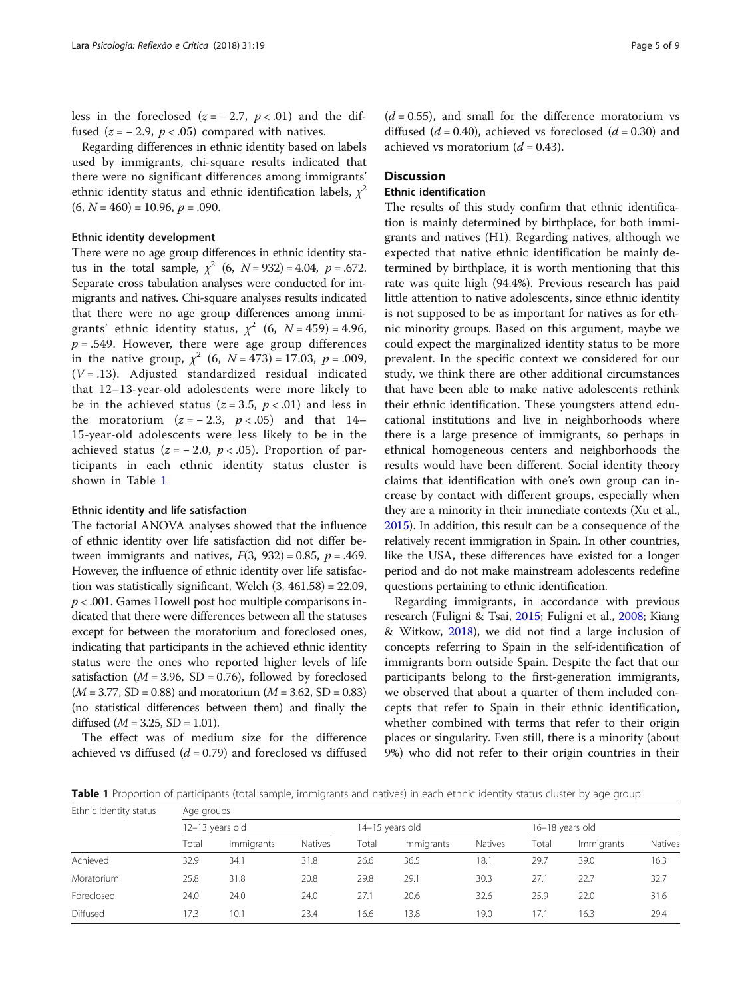less in the foreclosed  $(z = -2.7, p < .01)$  and the diffused ( $z = -2.9$ ,  $p < .05$ ) compared with natives.

Regarding differences in ethnic identity based on labels used by immigrants, chi-square results indicated that there were no significant differences among immigrants' ethnic identity status and ethnic identification labels,  $\chi^2$  $(6, N = 460) = 10.96, p = .090.$ 

#### Ethnic identity development

There were no age group differences in ethnic identity status in the total sample,  $\chi^2$  (6,  $N = 932$ ) = 4.04,  $p = .672$ . Separate cross tabulation analyses were conducted for immigrants and natives. Chi-square analyses results indicated that there were no age group differences among immigrants' ethnic identity status,  $\chi^2$  (6, N = 459) = 4.96,  $p = .549$ . However, there were age group differences in the native group,  $\chi^2$  (6,  $N = 473$ ) = 17.03,  $p = .009$ ,  $(V = .13)$ . Adjusted standardized residual indicated that 12–13-year-old adolescents were more likely to be in the achieved status ( $z = 3.5$ ,  $p < .01$ ) and less in the moratorium  $(z = -2.3, p < .05)$  and that 14– 15-year-old adolescents were less likely to be in the achieved status ( $z = -2.0$ ,  $p < .05$ ). Proportion of participants in each ethnic identity status cluster is shown in Table 1

# Ethnic identity and life satisfaction

The factorial ANOVA analyses showed that the influence of ethnic identity over life satisfaction did not differ between immigrants and natives,  $F(3, 932) = 0.85$ ,  $p = .469$ . However, the influence of ethnic identity over life satisfaction was statistically significant, Welch (3, 461.58) = 22.09,  $p < .001$ . Games Howell post hoc multiple comparisons indicated that there were differences between all the statuses except for between the moratorium and foreclosed ones, indicating that participants in the achieved ethnic identity status were the ones who reported higher levels of life satisfaction ( $M = 3.96$ , SD = 0.76), followed by foreclosed  $(M = 3.77, SD = 0.88)$  and moratorium  $(M = 3.62, SD = 0.83)$ (no statistical differences between them) and finally the diffused  $(M = 3.25, SD = 1.01)$ .

The effect was of medium size for the difference achieved vs diffused  $(d = 0.79)$  and foreclosed vs diffused  $(d = 0.55)$ , and small for the difference moratorium vs diffused ( $d = 0.40$ ), achieved vs foreclosed ( $d = 0.30$ ) and achieved vs moratorium  $(d = 0.43)$ .

# **Discussion**

# Ethnic identification

The results of this study confirm that ethnic identification is mainly determined by birthplace, for both immigrants and natives (H1). Regarding natives, although we expected that native ethnic identification be mainly determined by birthplace, it is worth mentioning that this rate was quite high (94.4%). Previous research has paid little attention to native adolescents, since ethnic identity is not supposed to be as important for natives as for ethnic minority groups. Based on this argument, maybe we could expect the marginalized identity status to be more prevalent. In the specific context we considered for our study, we think there are other additional circumstances that have been able to make native adolescents rethink their ethnic identification. These youngsters attend educational institutions and live in neighborhoods where there is a large presence of immigrants, so perhaps in ethnical homogeneous centers and neighborhoods the results would have been different. Social identity theory claims that identification with one's own group can increase by contact with different groups, especially when they are a minority in their immediate contexts (Xu et al., [2015\)](#page-8-0). In addition, this result can be a consequence of the relatively recent immigration in Spain. In other countries, like the USA, these differences have existed for a longer period and do not make mainstream adolescents redefine questions pertaining to ethnic identification.

Regarding immigrants, in accordance with previous research (Fuligni & Tsai, [2015](#page-7-0); Fuligni et al., [2008;](#page-7-0) Kiang & Witkow, [2018\)](#page-7-0), we did not find a large inclusion of concepts referring to Spain in the self-identification of immigrants born outside Spain. Despite the fact that our participants belong to the first-generation immigrants, we observed that about a quarter of them included concepts that refer to Spain in their ethnic identification, whether combined with terms that refer to their origin places or singularity. Even still, there is a minority (about 9%) who did not refer to their origin countries in their

Table 1 Proportion of participants (total sample, immigrants and natives) in each ethnic identity status cluster by age group

| Ethnic identity status | Age groups      |            |                |                 |            |                |                 |            |                |
|------------------------|-----------------|------------|----------------|-----------------|------------|----------------|-----------------|------------|----------------|
|                        | 12-13 years old |            |                | 14-15 years old |            |                | 16-18 years old |            |                |
|                        | Total           | Immigrants | <b>Natives</b> | Total           | Immigrants | <b>Natives</b> | Total           | Immigrants | <b>Natives</b> |
| Achieved               | 32.9            | 34.1       | 31.8           | 26.6            | 36.5       | 18.1           | 29.7            | 39.0       | 16.3           |
| Moratorium             | 25.8            | 31.8       | 20.8           | 29.8            | 29.1       | 30.3           | 27.1            | 22.7       | 32.7           |
| Foreclosed             | 24.0            | 24.0       | 24.0           | 27.1            | 20.6       | 32.6           | 25.9            | 22.0       | 31.6           |
| Diffused               | 17.3            | 10.1       | 23.4           | 16.6            | 13.8       | 19.0           | 17.1            | 16.3       | 29.4           |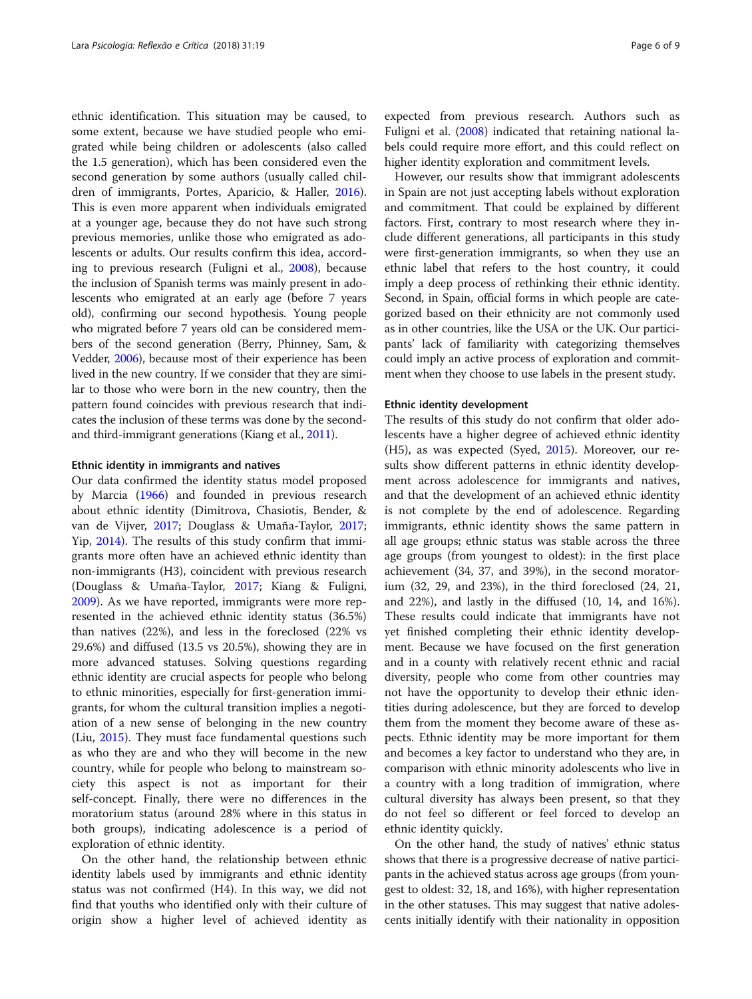ethnic identification. This situation may be caused, to some extent, because we have studied people who emigrated while being children or adolescents (also called the 1.5 generation), which has been considered even the second generation by some authors (usually called children of immigrants, Portes, Aparicio, & Haller, [2016](#page-7-0)). This is even more apparent when individuals emigrated at a younger age, because they do not have such strong previous memories, unlike those who emigrated as adolescents or adults. Our results confirm this idea, according to previous research (Fuligni et al., [2008\)](#page-7-0), because the inclusion of Spanish terms was mainly present in adolescents who emigrated at an early age (before 7 years old), confirming our second hypothesis. Young people who migrated before 7 years old can be considered members of the second generation (Berry, Phinney, Sam, & Vedder, [2006\)](#page-7-0), because most of their experience has been lived in the new country. If we consider that they are similar to those who were born in the new country, then the pattern found coincides with previous research that indicates the inclusion of these terms was done by the secondand third-immigrant generations (Kiang et al., [2011](#page-7-0)).

#### Ethnic identity in immigrants and natives

Our data confirmed the identity status model proposed by Marcia ([1966](#page-7-0)) and founded in previous research about ethnic identity (Dimitrova, Chasiotis, Bender, & van de Vijver, [2017](#page-7-0); Douglass & Umaña-Taylor, [2017](#page-7-0); Yip, [2014\)](#page-8-0). The results of this study confirm that immigrants more often have an achieved ethnic identity than non-immigrants (H3), coincident with previous research (Douglass & Umaña-Taylor, [2017](#page-7-0); Kiang & Fuligni, [2009](#page-7-0)). As we have reported, immigrants were more represented in the achieved ethnic identity status (36.5%) than natives (22%), and less in the foreclosed (22% vs 29.6%) and diffused (13.5 vs 20.5%), showing they are in more advanced statuses. Solving questions regarding ethnic identity are crucial aspects for people who belong to ethnic minorities, especially for first-generation immigrants, for whom the cultural transition implies a negotiation of a new sense of belonging in the new country (Liu, [2015](#page-7-0)). They must face fundamental questions such as who they are and who they will become in the new country, while for people who belong to mainstream society this aspect is not as important for their self-concept. Finally, there were no differences in the moratorium status (around 28% where in this status in both groups), indicating adolescence is a period of exploration of ethnic identity.

On the other hand, the relationship between ethnic identity labels used by immigrants and ethnic identity status was not confirmed (H4). In this way, we did not find that youths who identified only with their culture of origin show a higher level of achieved identity as

expected from previous research. Authors such as Fuligni et al. ([2008\)](#page-7-0) indicated that retaining national labels could require more effort, and this could reflect on higher identity exploration and commitment levels.

However, our results show that immigrant adolescents in Spain are not just accepting labels without exploration and commitment. That could be explained by different factors. First, contrary to most research where they include different generations, all participants in this study were first-generation immigrants, so when they use an ethnic label that refers to the host country, it could imply a deep process of rethinking their ethnic identity. Second, in Spain, official forms in which people are categorized based on their ethnicity are not commonly used as in other countries, like the USA or the UK. Our participants' lack of familiarity with categorizing themselves could imply an active process of exploration and commitment when they choose to use labels in the present study.

#### Ethnic identity development

The results of this study do not confirm that older adolescents have a higher degree of achieved ethnic identity (H5), as was expected (Syed, [2015](#page-7-0)). Moreover, our results show different patterns in ethnic identity development across adolescence for immigrants and natives, and that the development of an achieved ethnic identity is not complete by the end of adolescence. Regarding immigrants, ethnic identity shows the same pattern in all age groups; ethnic status was stable across the three age groups (from youngest to oldest): in the first place achievement (34, 37, and 39%), in the second moratorium (32, 29, and 23%), in the third foreclosed (24, 21, and 22%), and lastly in the diffused (10, 14, and 16%). These results could indicate that immigrants have not yet finished completing their ethnic identity development. Because we have focused on the first generation and in a county with relatively recent ethnic and racial diversity, people who come from other countries may not have the opportunity to develop their ethnic identities during adolescence, but they are forced to develop them from the moment they become aware of these aspects. Ethnic identity may be more important for them and becomes a key factor to understand who they are, in comparison with ethnic minority adolescents who live in a country with a long tradition of immigration, where cultural diversity has always been present, so that they do not feel so different or feel forced to develop an ethnic identity quickly.

On the other hand, the study of natives' ethnic status shows that there is a progressive decrease of native participants in the achieved status across age groups (from youngest to oldest: 32, 18, and 16%), with higher representation in the other statuses. This may suggest that native adolescents initially identify with their nationality in opposition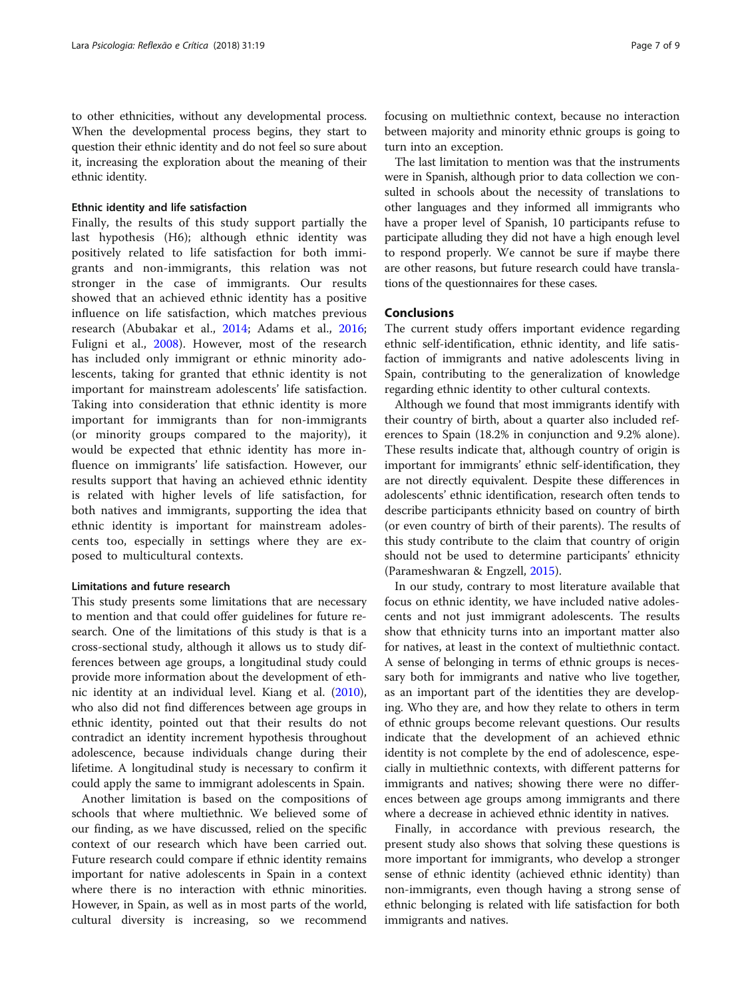to other ethnicities, without any developmental process. When the developmental process begins, they start to question their ethnic identity and do not feel so sure about it, increasing the exploration about the meaning of their ethnic identity.

# Ethnic identity and life satisfaction

Finally, the results of this study support partially the last hypothesis (H6); although ethnic identity was positively related to life satisfaction for both immigrants and non-immigrants, this relation was not stronger in the case of immigrants. Our results showed that an achieved ethnic identity has a positive influence on life satisfaction, which matches previous research (Abubakar et al., [2014](#page-7-0); Adams et al., [2016](#page-7-0); Fuligni et al., [2008\)](#page-7-0). However, most of the research has included only immigrant or ethnic minority adolescents, taking for granted that ethnic identity is not important for mainstream adolescents' life satisfaction. Taking into consideration that ethnic identity is more important for immigrants than for non-immigrants (or minority groups compared to the majority), it would be expected that ethnic identity has more influence on immigrants' life satisfaction. However, our results support that having an achieved ethnic identity is related with higher levels of life satisfaction, for both natives and immigrants, supporting the idea that ethnic identity is important for mainstream adolescents too, especially in settings where they are exposed to multicultural contexts.

# Limitations and future research

This study presents some limitations that are necessary to mention and that could offer guidelines for future research. One of the limitations of this study is that is a cross-sectional study, although it allows us to study differences between age groups, a longitudinal study could provide more information about the development of ethnic identity at an individual level. Kiang et al. ([2010](#page-7-0)), who also did not find differences between age groups in ethnic identity, pointed out that their results do not contradict an identity increment hypothesis throughout adolescence, because individuals change during their lifetime. A longitudinal study is necessary to confirm it could apply the same to immigrant adolescents in Spain.

Another limitation is based on the compositions of schools that where multiethnic. We believed some of our finding, as we have discussed, relied on the specific context of our research which have been carried out. Future research could compare if ethnic identity remains important for native adolescents in Spain in a context where there is no interaction with ethnic minorities. However, in Spain, as well as in most parts of the world, cultural diversity is increasing, so we recommend

focusing on multiethnic context, because no interaction between majority and minority ethnic groups is going to turn into an exception.

The last limitation to mention was that the instruments were in Spanish, although prior to data collection we consulted in schools about the necessity of translations to other languages and they informed all immigrants who have a proper level of Spanish, 10 participants refuse to participate alluding they did not have a high enough level to respond properly. We cannot be sure if maybe there are other reasons, but future research could have translations of the questionnaires for these cases.

## Conclusions

The current study offers important evidence regarding ethnic self-identification, ethnic identity, and life satisfaction of immigrants and native adolescents living in Spain, contributing to the generalization of knowledge regarding ethnic identity to other cultural contexts.

Although we found that most immigrants identify with their country of birth, about a quarter also included references to Spain (18.2% in conjunction and 9.2% alone). These results indicate that, although country of origin is important for immigrants' ethnic self-identification, they are not directly equivalent. Despite these differences in adolescents' ethnic identification, research often tends to describe participants ethnicity based on country of birth (or even country of birth of their parents). The results of this study contribute to the claim that country of origin should not be used to determine participants' ethnicity (Parameshwaran & Engzell, [2015\)](#page-7-0).

In our study, contrary to most literature available that focus on ethnic identity, we have included native adolescents and not just immigrant adolescents. The results show that ethnicity turns into an important matter also for natives, at least in the context of multiethnic contact. A sense of belonging in terms of ethnic groups is necessary both for immigrants and native who live together, as an important part of the identities they are developing. Who they are, and how they relate to others in term of ethnic groups become relevant questions. Our results indicate that the development of an achieved ethnic identity is not complete by the end of adolescence, especially in multiethnic contexts, with different patterns for immigrants and natives; showing there were no differences between age groups among immigrants and there where a decrease in achieved ethnic identity in natives.

Finally, in accordance with previous research, the present study also shows that solving these questions is more important for immigrants, who develop a stronger sense of ethnic identity (achieved ethnic identity) than non-immigrants, even though having a strong sense of ethnic belonging is related with life satisfaction for both immigrants and natives.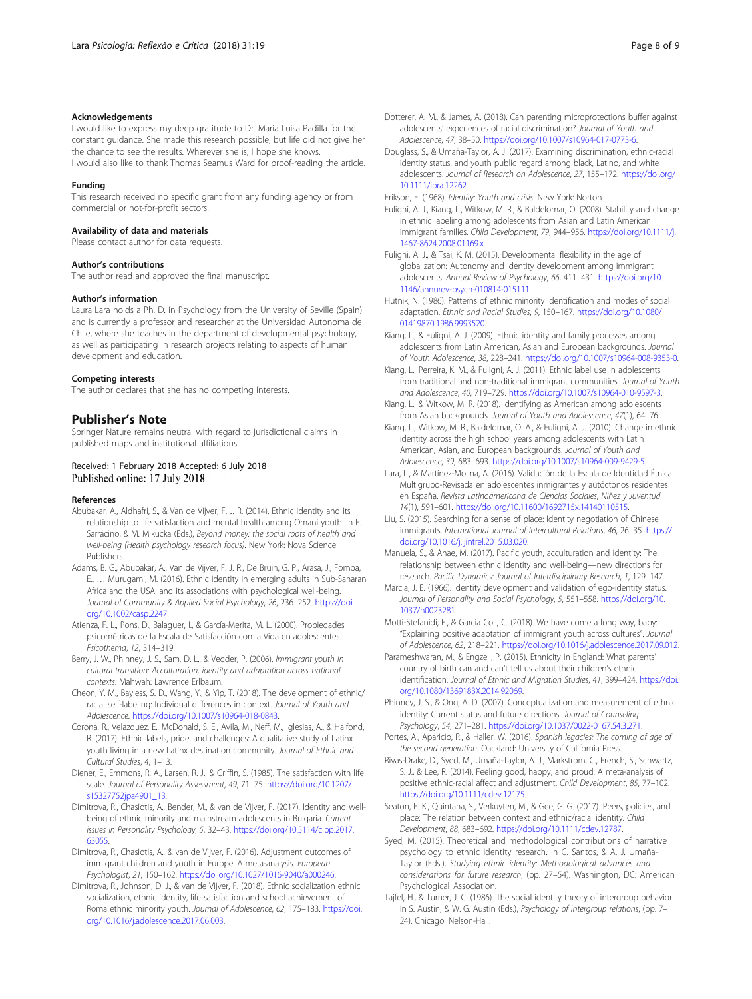## <span id="page-7-0"></span>Acknowledgements

I would like to express my deep gratitude to Dr. Maria Luisa Padilla for the constant guidance. She made this research possible, but life did not give her the chance to see the results. Wherever she is, I hope she knows. I would also like to thank Thomas Seamus Ward for proof-reading the article.

# Funding

This research received no specific grant from any funding agency or from commercial or not-for-profit sectors.

#### Availability of data and materials

Please contact author for data requests.

#### Author's contributions

The author read and approved the final manuscript.

#### Author's information

Laura Lara holds a Ph. D. in Psychology from the University of Seville (Spain) and is currently a professor and researcher at the Universidad Autonoma de Chile, where she teaches in the department of developmental psychology, as well as participating in research projects relating to aspects of human development and education.

#### Competing interests

The author declares that she has no competing interests.

# Publisher's Note

Springer Nature remains neutral with regard to jurisdictional claims in published maps and institutional affiliations.

#### Received: 1 February 2018 Accepted: 6 July 2018 Published online: 17 July 2018

#### References

- Abubakar, A., Aldhafri, S., & Van de Vijver, F. J. R. (2014). Ethnic identity and its relationship to life satisfaction and mental health among Omani youth. In F. Sarracino, & M. Mikucka (Eds.), Beyond money: the social roots of health and well-being (Health psychology research focus). New York: Nova Science Publishers.
- Adams, B. G., Abubakar, A., Van de Vijver, F. J. R., De Bruin, G. P., Arasa, J., Fomba, E., … Murugami, M. (2016). Ethnic identity in emerging adults in Sub-Saharan Africa and the USA, and its associations with psychological well-being. Journal of Community & Applied Social Psychology, 26, 236–252. [https://doi.](https://doi.org/10.1002/casp.2247) [org/10.1002/casp.2247.](https://doi.org/10.1002/casp.2247)
- Atienza, F. L., Pons, D., Balaguer, I., & García-Merita, M. L. (2000). Propiedades psicométricas de la Escala de Satisfacción con la Vida en adolescentes. Psicothema, 12, 314–319.
- Berry, J. W., Phinney, J. S., Sam, D. L., & Vedder, P. (2006). Immigrant youth in cultural transition: Acculturation, identity and adaptation across national contexts. Mahwah: Lawrence Erlbaum.
- Cheon, Y. M., Bayless, S. D., Wang, Y., & Yip, T. (2018). The development of ethnic/ racial self-labeling: Individual differences in context. Journal of Youth and Adolescence. <https://doi.org/10.1007/s10964-018-0843>.
- Corona, R., Velazquez, E., McDonald, S. E., Avila, M., Neff, M., Iglesias, A., & Halfond, R. (2017). Ethnic labels, pride, and challenges: A qualitative study of Latinx youth living in a new Latinx destination community. Journal of Ethnic and Cultural Studies, 4, 1–13.
- Diener, E., Emmons, R. A., Larsen, R. J., & Griffin, S. (1985). The satisfaction with life scale. Journal of Personality Assessment, 49, 71–75. [https://doi.org/10.1207/](https://doi.org/10.1207/s15327752jpa4901_13) [s15327752jpa4901\\_13](https://doi.org/10.1207/s15327752jpa4901_13).
- Dimitrova, R., Chasiotis, A., Bender, M., & van de Vijver, F. (2017). Identity and wellbeing of ethnic minority and mainstream adolescents in Bulgaria. Current issues in Personality Psychology, 5, 32–43. [https://doi.org/10.5114/cipp.2017.](https://doi.org/10.5114/cipp.2017.63055) [63055.](https://doi.org/10.5114/cipp.2017.63055)
- Dimitrova, R., Chasiotis, A., & van de Vijver, F. (2016). Adjustment outcomes of immigrant children and youth in Europe: A meta-analysis. European Psychologist, 21, 150–162. <https://doi.org/10.1027/1016-9040/a000246>.
- Dimitrova, R., Johnson, D. J., & van de Vijver, F. (2018). Ethnic socialization ethnic socialization, ethnic identity, life satisfaction and school achievement of Roma ethnic minority youth. Journal of Adolescence, 62, 175–183. [https://doi.](https://doi.org/10.1016/j.adolescence.2017.06.003) [org/10.1016/j.adolescence.2017.06.003](https://doi.org/10.1016/j.adolescence.2017.06.003).
- Dotterer, A. M., & James, A. (2018). Can parenting microprotections buffer against adolescents' experiences of racial discrimination? Journal of Youth and Adolescence, 47, 38–50. [https://doi.org/10.1007/s10964-017-0773-6.](https://doi.org/10.1007/s10964-017-0773-6)
- Douglass, S., & Umaña-Taylor, A. J. (2017). Examining discrimination, ethnic-racial identity status, and youth public regard among black, Latino, and white adolescents. Journal of Research on Adolescence, 27, 155–172. [https://doi.org/](https://doi.org/10.1111/jora.12262) [10.1111/jora.12262.](https://doi.org/10.1111/jora.12262)

Erikson, E. (1968). Identity: Youth and crisis. New York: Norton.

- Fuligni, A. J., Kiang, L., Witkow, M. R., & Baldelomar, O. (2008). Stability and change in ethnic labeling among adolescents from Asian and Latin American immigrant families. Child Development, 79, 944–956. [https://doi.org/10.1111/j.](https://doi.org/10.1111/j.1467-8624.2008.01169.x) [1467-8624.2008.01169.x](https://doi.org/10.1111/j.1467-8624.2008.01169.x).
- Fuligni, A. J., & Tsai, K. M. (2015). Developmental flexibility in the age of globalization: Autonomy and identity development among immigrant adolescents. Annual Review of Psychology, 66, 411–431. [https://doi.org/10.](https://doi.org/10.1146/annurev-psych-010814-015111) [1146/annurev-psych-010814-015111.](https://doi.org/10.1146/annurev-psych-010814-015111)
- Hutnik, N. (1986). Patterns of ethnic minority identification and modes of social adaptation. Ethnic and Racial Studies, 9, 150–167. [https://doi.org/10.1080/](https://doi.org/10.1080/01419870.1986.9993520) [01419870.1986.9993520.](https://doi.org/10.1080/01419870.1986.9993520)
- Kiang, L., & Fuligni, A. J. (2009). Ethnic identity and family processes among adolescents from Latin American, Asian and European backgrounds. Journal of Youth Adolescence, 38, 228–241. [https://doi.org/10.1007/s10964-008-9353-0.](https://doi.org/10.1007/s10964-008-9353-0)
- Kiang, L., Perreira, K. M., & Fuligni, A. J. (2011). Ethnic label use in adolescents from traditional and non-traditional immigrant communities. Journal of Youth and Adolescence, 40, 719–729. [https://doi.org/10.1007/s10964-010-9597-3.](https://doi.org/10.1007/s10964-010-9597-3)
- Kiang, L., & Witkow, M. R. (2018). Identifying as American among adolescents from Asian backgrounds. Journal of Youth and Adolescence, 47(1), 64–76.
- Kiang, L., Witkow, M. R., Baldelomar, O. A., & Fuligni, A. J. (2010). Change in ethnic identity across the high school years among adolescents with Latin American, Asian, and European backgrounds. Journal of Youth and Adolescence, 39, 683–693. [https://doi.org/10.1007/s10964-009-9429-5.](https://doi.org/10.1007/s10964-009-9429-5)
- Lara, L., & Martínez-Molina, A. (2016). Validación de la Escala de Identidad Étnica Multigrupo-Revisada en adolescentes inmigrantes y autóctonos residentes en España. Revista Latinoamericana de Ciencias Sociales, Niñez y Juventud, 14(1), 591–601. <https://doi.org/10.11600/1692715x.14140110515>.
- Liu, S. (2015). Searching for a sense of place: Identity negotiation of Chinese immigrants. International Journal of Intercultural Relations, 46, 26–35. [https://](https://doi.org/10.1016/j.ijintrel.2015.03.020) [doi.org/10.1016/j.ijintrel.2015.03.020.](https://doi.org/10.1016/j.ijintrel.2015.03.020)
- Manuela, S., & Anae, M. (2017). Pacific youth, acculturation and identity: The relationship between ethnic identity and well-being—new directions for research. Pacific Dynamics: Journal of Interdisciplinary Research, 1, 129–147.
- Marcia, J. E. (1966). Identity development and validation of ego-identity status. Journal of Personality and Social Psychology, 5, 551–558. [https://doi.org/10.](https://doi.org/10.1037/h0023281) [1037/h0023281.](https://doi.org/10.1037/h0023281)

Motti-Stefanidi, F., & Garcia Coll, C. (2018). We have come a long way, baby: "Explaining positive adaptation of immigrant youth across cultures". Journal of Adolescence, 62, 218–221. <https://doi.org/10.1016/j.adolescence.2017.09.012>.

- Parameshwaran, M., & Engzell, P. (2015). Ethnicity in England: What parents' country of birth can and can't tell us about their children's ethnic identification. Journal of Ethnic and Migration Studies, 41, 399–424. [https://doi.](https://doi.org/10.1080/1369183X.2014.92069) [org/10.1080/1369183X.2014.92069.](https://doi.org/10.1080/1369183X.2014.92069)
- Phinney, J. S., & Ong, A. D. (2007). Conceptualization and measurement of ethnic identity: Current status and future directions. Journal of Counseling Psychology, 54, 271–281. [https://doi.org/10.1037/0022-0167.54.3.271.](https://doi.org/10.1037/0022-0167.54.3.271)
- Portes, A., Aparicio, R., & Haller, W. (2016). Spanish legacies: The coming of age of the second generation. Oackland: University of California Press.
- Rivas-Drake, D., Syed, M., Umaña-Taylor, A. J., Markstrom, C., French, S., Schwartz, S. J., & Lee, R. (2014). Feeling good, happy, and proud: A meta-analysis of positive ethnic-racial affect and adjustment. Child Development, 85, 77–102. [https://doi.org/10.1111/cdev.12175.](https://doi.org/10.1111/cdev.12175)
- Seaton, E. K., Quintana, S., Verkuyten, M., & Gee, G. G. (2017). Peers, policies, and place: The relation between context and ethnic/racial identity. Child Development, 88, 683–692. <https://doi.org/10.1111/cdev.12787>.
- Syed, M. (2015). Theoretical and methodological contributions of narrative psychology to ethnic identity research. In C. Santos, & A. J. Umaña-Taylor (Eds.), Studying ethnic identity: Methodological advances and considerations for future research, (pp. 27–54). Washington, DC: American Psychological Association.
- Tajfel, H., & Turner, J. C. (1986). The social identity theory of intergroup behavior. In S. Austin, & W. G. Austin (Eds.), Psychology of intergroup relations, (pp. 7-24). Chicago: Nelson-Hall.